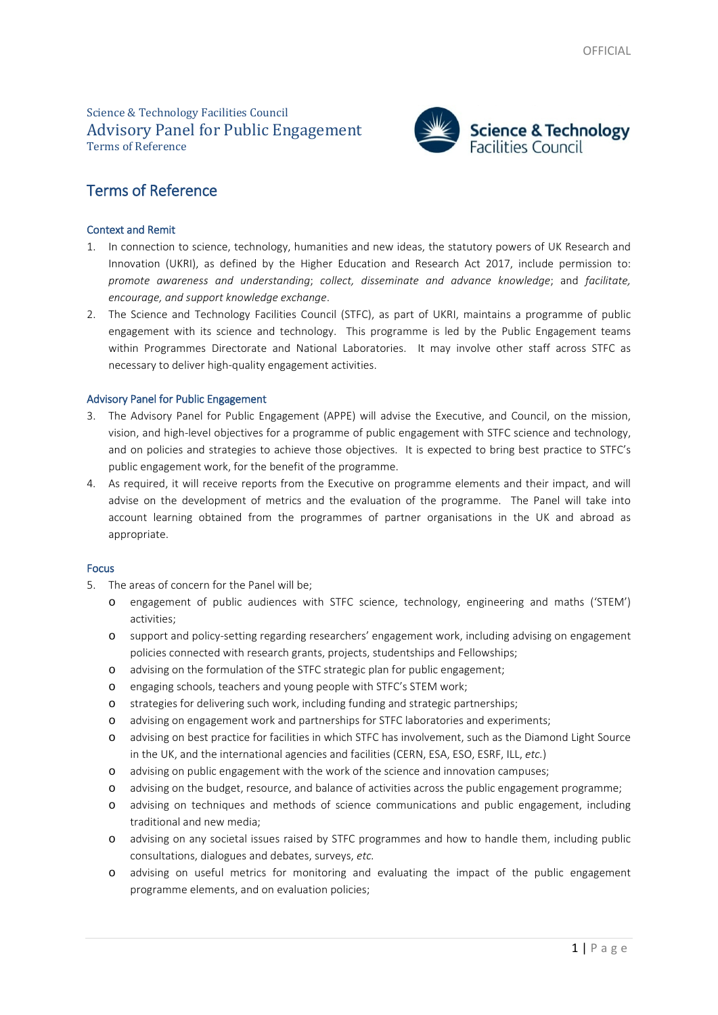## Science & Technology Facilities Council Advisory Panel for Public Engagement Terms of Reference



# Terms of Reference

## Context and Remit

- 1. In connection to science, technology, humanities and new ideas, the statutory powers of UK Research and Innovation (UKRI), as defined by the Higher Education and Research Act 2017, include permission to: *promote awareness and understanding*; *collect, disseminate and advance knowledge*; and *facilitate, encourage, and support knowledge exchange*.
- 2. The Science and Technology Facilities Council (STFC), as part of UKRI, maintains a programme of public engagement with its science and technology. This programme is led by the Public Engagement teams within Programmes Directorate and National Laboratories. It may involve other staff across STFC as necessary to deliver high-quality engagement activities.

## Advisory Panel for Public Engagement

- 3. The Advisory Panel for Public Engagement (APPE) will advise the Executive, and Council, on the mission, vision, and high-level objectives for a programme of public engagement with STFC science and technology, and on policies and strategies to achieve those objectives. It is expected to bring best practice to STFC's public engagement work, for the benefit of the programme.
- 4. As required, it will receive reports from the Executive on programme elements and their impact, and will advise on the development of metrics and the evaluation of the programme. The Panel will take into account learning obtained from the programmes of partner organisations in the UK and abroad as appropriate.

## Focus

- 5. The areas of concern for the Panel will be;
	- o engagement of public audiences with STFC science, technology, engineering and maths ('STEM') activities;
	- o support and policy-setting regarding researchers' engagement work, including advising on engagement policies connected with research grants, projects, studentships and Fellowships;
	- o advising on the formulation of the STFC strategic plan for public engagement;
	- o engaging schools, teachers and young people with STFC's STEM work;
	- o strategies for delivering such work, including funding and strategic partnerships;
	- o advising on engagement work and partnerships for STFC laboratories and experiments;
	- o advising on best practice for facilities in which STFC has involvement, such as the Diamond Light Source in the UK, and the international agencies and facilities (CERN, ESA, ESO, ESRF, ILL, *etc.*)
	- o advising on public engagement with the work of the science and innovation campuses;
	- o advising on the budget, resource, and balance of activities across the public engagement programme;
	- o advising on techniques and methods of science communications and public engagement, including traditional and new media;
	- o advising on any societal issues raised by STFC programmes and how to handle them, including public consultations, dialogues and debates, surveys, *etc.*
	- o advising on useful metrics for monitoring and evaluating the impact of the public engagement programme elements, and on evaluation policies;